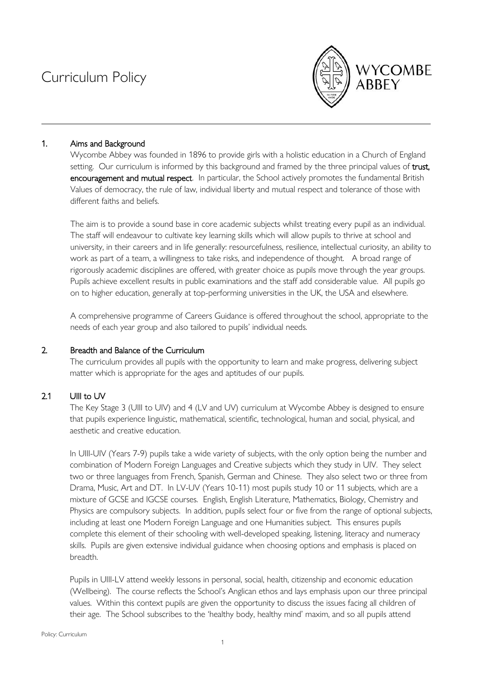# Curriculum Policy



# 1. Aims and Background

Wycombe Abbey was founded in 1896 to provide girls with a holistic education in a Church of England setting. Our curriculum is informed by this background and framed by the three principal values of trust, encouragement and mutual respect. In particular, the School actively promotes the fundamental British Values of democracy, the rule of law, individual liberty and mutual respect and tolerance of those with different faiths and beliefs.

The aim is to provide a sound base in core academic subjects whilst treating every pupil as an individual. The staff will endeavour to cultivate key learning skills which will allow pupils to thrive at school and university, in their careers and in life generally: resourcefulness, resilience, intellectual curiosity, an ability to work as part of a team, a willingness to take risks, and independence of thought. A broad range of rigorously academic disciplines are offered, with greater choice as pupils move through the year groups. Pupils achieve excellent results in public examinations and the staff add considerable value. All pupils go on to higher education, generally at top-performing universities in the UK, the USA and elsewhere.

A comprehensive programme of Careers Guidance is offered throughout the school, appropriate to the needs of each year group and also tailored to pupils' individual needs.

## 2. Breadth and Balance of the Curriculum

The curriculum provides all pupils with the opportunity to learn and make progress, delivering subject matter which is appropriate for the ages and aptitudes of our pupils.

# 2.1 UIII to UV

The Key Stage 3 (UIII to UIV) and 4 (LV and UV) curriculum at Wycombe Abbey is designed to ensure that pupils experience linguistic, mathematical, scientific, technological, human and social, physical, and aesthetic and creative education.

In UIII-UIV (Years 7-9) pupils take a wide variety of subjects, with the only option being the number and combination of Modern Foreign Languages and Creative subjects which they study in UIV. They select two or three languages from French, Spanish, German and Chinese. They also select two or three from Drama, Music, Art and DT. In LV-UV (Years 10-11) most pupils study 10 or 11 subjects, which are a mixture of GCSE and IGCSE courses. English, English Literature, Mathematics, Biology, Chemistry and Physics are compulsory subjects. In addition, pupils select four or five from the range of optional subjects, including at least one Modern Foreign Language and one Humanities subject. This ensures pupils complete this element of their schooling with well-developed speaking, listening, literacy and numeracy skills. Pupils are given extensive individual guidance when choosing options and emphasis is placed on breadth.

Pupils in UIII-LV attend weekly lessons in personal, social, health, citizenship and economic education (Wellbeing). The course reflects the School's Anglican ethos and lays emphasis upon our three principal values. Within this context pupils are given the opportunity to discuss the issues facing all children of their age. The School subscribes to the 'healthy body, healthy mind' maxim, and so all pupils attend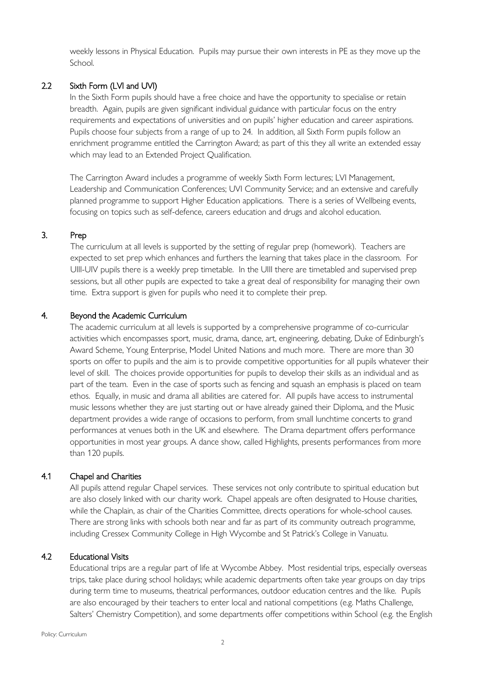weekly lessons in Physical Education. Pupils may pursue their own interests in PE as they move up the School.

# 2.2 Sixth Form (LVI and UVI)

In the Sixth Form pupils should have a free choice and have the opportunity to specialise or retain breadth. Again, pupils are given significant individual guidance with particular focus on the entry requirements and expectations of universities and on pupils' higher education and career aspirations. Pupils choose four subjects from a range of up to 24. In addition, all Sixth Form pupils follow an enrichment programme entitled the Carrington Award; as part of this they all write an extended essay which may lead to an Extended Project Qualification.

The Carrington Award includes a programme of weekly Sixth Form lectures; LVI Management, Leadership and Communication Conferences; UVI Community Service; and an extensive and carefully planned programme to support Higher Education applications. There is a series of Wellbeing events, focusing on topics such as self-defence, careers education and drugs and alcohol education.

## 3. Prep

The curriculum at all levels is supported by the setting of regular prep (homework). Teachers are expected to set prep which enhances and furthers the learning that takes place in the classroom. For UIII-UIV pupils there is a weekly prep timetable. In the UIII there are timetabled and supervised prep sessions, but all other pupils are expected to take a great deal of responsibility for managing their own time. Extra support is given for pupils who need it to complete their prep.

## 4. Beyond the Academic Curriculum

The academic curriculum at all levels is supported by a comprehensive programme of co-curricular activities which encompasses sport, music, drama, dance, art, engineering, debating, Duke of Edinburgh's Award Scheme, Young Enterprise, Model United Nations and much more. There are more than 30 sports on offer to pupils and the aim is to provide competitive opportunities for all pupils whatever their level of skill. The choices provide opportunities for pupils to develop their skills as an individual and as part of the team. Even in the case of sports such as fencing and squash an emphasis is placed on team ethos. Equally, in music and drama all abilities are catered for. All pupils have access to instrumental music lessons whether they are just starting out or have already gained their Diploma, and the Music department provides a wide range of occasions to perform, from small lunchtime concerts to grand performances at venues both in the UK and elsewhere. The Drama department offers performance opportunities in most year groups. A dance show, called Highlights, presents performances from more than 120 pupils.

## 4.1 Chapel and Charities

All pupils attend regular Chapel services. These services not only contribute to spiritual education but are also closely linked with our charity work. Chapel appeals are often designated to House charities, while the Chaplain, as chair of the Charities Committee, directs operations for whole-school causes. There are strong links with schools both near and far as part of its community outreach programme, including Cressex Community College in High Wycombe and St Patrick's College in Vanuatu.

#### 4.2 Educational Visits

Educational trips are a regular part of life at Wycombe Abbey. Most residential trips, especially overseas trips, take place during school holidays; while academic departments often take year groups on day trips during term time to museums, theatrical performances, outdoor education centres and the like. Pupils are also encouraged by their teachers to enter local and national competitions (e.g. Maths Challenge, Salters' Chemistry Competition), and some departments offer competitions within School (e.g. the English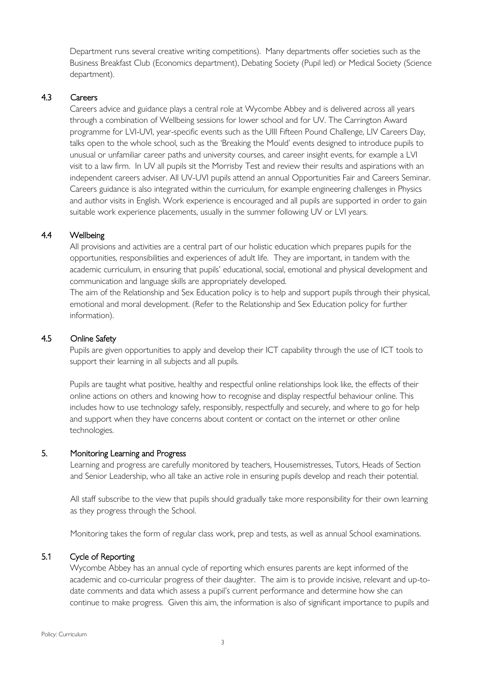Department runs several creative writing competitions). Many departments offer societies such as the Business Breakfast Club (Economics department), Debating Society (Pupil led) or Medical Society (Science department).

## 4.3 Careers

Careers advice and guidance plays a central role at Wycombe Abbey and is delivered across all years through a combination of Wellbeing sessions for lower school and for UV. The Carrington Award programme for LVI-UVI, year-specific events such as the UIII Fifteen Pound Challenge, LIV Careers Day, talks open to the whole school, such as the 'Breaking the Mould' events designed to introduce pupils to unusual or unfamiliar career paths and university courses, and career insight events, for example a LVI visit to a law firm. In UV all pupils sit the Morrisby Test and review their results and aspirations with an independent careers adviser. All UV-UVI pupils attend an annual Opportunities Fair and Careers Seminar. Careers guidance is also integrated within the curriculum, for example engineering challenges in Physics and author visits in English. Work experience is encouraged and all pupils are supported in order to gain suitable work experience placements, usually in the summer following UV or LVI years.

## 4.4 Wellbeing

All provisions and activities are a central part of our holistic education which prepares pupils for the opportunities, responsibilities and experiences of adult life. They are important, in tandem with the academic curriculum, in ensuring that pupils' educational, social, emotional and physical development and communication and language skills are appropriately developed.

The aim of the Relationship and Sex Education policy is to help and support pupils through their physical, emotional and moral development. (Refer to the Relationship and Sex Education policy for further information).

## 4.5 Online Safety

Pupils are given opportunities to apply and develop their ICT capability through the use of ICT tools to support their learning in all subjects and all pupils.

Pupils are taught what positive, healthy and respectful online relationships look like, the effects of their online actions on others and knowing how to recognise and display respectful behaviour online. This includes how to use technology safely, responsibly, respectfully and securely, and where to go for help and support when they have concerns about content or contact on the internet or other online technologies.

## 5. Monitoring Learning and Progress

Learning and progress are carefully monitored by teachers, Housemistresses, Tutors, Heads of Section and Senior Leadership, who all take an active role in ensuring pupils develop and reach their potential.

All staff subscribe to the view that pupils should gradually take more responsibility for their own learning as they progress through the School.

Monitoring takes the form of regular class work, prep and tests, as well as annual School examinations.

## 5.1 Cycle of Reporting

Wycombe Abbey has an annual cycle of reporting which ensures parents are kept informed of the academic and co-curricular progress of their daughter. The aim is to provide incisive, relevant and up-todate comments and data which assess a pupil's current performance and determine how she can continue to make progress. Given this aim, the information is also of significant importance to pupils and